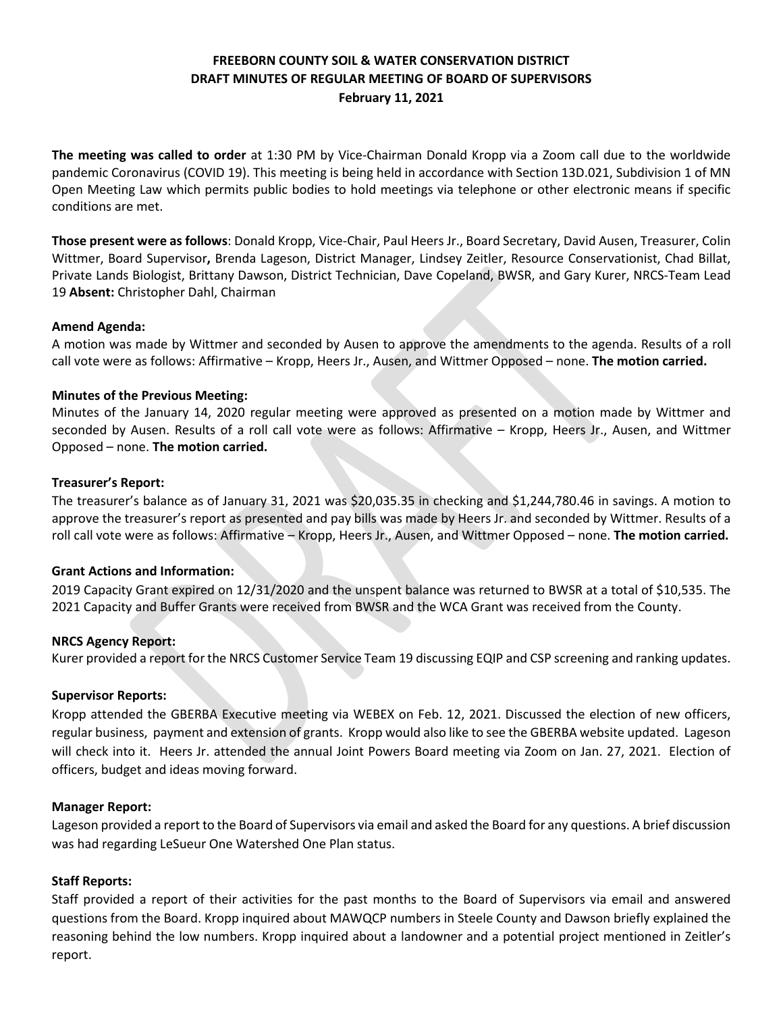# **FREEBORN COUNTY SOIL & WATER CONSERVATION DISTRICT DRAFT MINUTES OF REGULAR MEETING OF BOARD OF SUPERVISORS February 11, 2021**

**The meeting was called to order** at 1:30 PM by Vice-Chairman Donald Kropp via a Zoom call due to the worldwide pandemic Coronavirus (COVID 19). This meeting is being held in accordance with Section 13D.021, Subdivision 1 of MN Open Meeting Law which permits public bodies to hold meetings via telephone or other electronic means if specific conditions are met.

**Those present were as follows**: Donald Kropp, Vice-Chair, Paul Heers Jr., Board Secretary, David Ausen, Treasurer, Colin Wittmer, Board Supervisor**,** Brenda Lageson, District Manager, Lindsey Zeitler, Resource Conservationist, Chad Billat, Private Lands Biologist, Brittany Dawson, District Technician, Dave Copeland, BWSR, and Gary Kurer, NRCS-Team Lead 19 **Absent:** Christopher Dahl, Chairman

### **Amend Agenda:**

A motion was made by Wittmer and seconded by Ausen to approve the amendments to the agenda. Results of a roll call vote were as follows: Affirmative – Kropp, Heers Jr., Ausen, and Wittmer Opposed – none. **The motion carried.**

### **Minutes of the Previous Meeting:**

Minutes of the January 14, 2020 regular meeting were approved as presented on a motion made by Wittmer and seconded by Ausen. Results of a roll call vote were as follows: Affirmative – Kropp, Heers Jr., Ausen, and Wittmer Opposed – none. **The motion carried.**

### **Treasurer's Report:**

The treasurer's balance as of January 31, 2021 was \$20,035.35 in checking and \$1,244,780.46 in savings. A motion to approve the treasurer's report as presented and pay bills was made by Heers Jr. and seconded by Wittmer. Results of a roll call vote were as follows: Affirmative – Kropp, Heers Jr., Ausen, and Wittmer Opposed – none. **The motion carried.**

#### **Grant Actions and Information:**

2019 Capacity Grant expired on 12/31/2020 and the unspent balance was returned to BWSR at a total of \$10,535. The 2021 Capacity and Buffer Grants were received from BWSR and the WCA Grant was received from the County.

#### **NRCS Agency Report:**

Kurer provided a report for the NRCS Customer Service Team 19 discussing EQIP and CSP screening and ranking updates.

#### **Supervisor Reports:**

Kropp attended the GBERBA Executive meeting via WEBEX on Feb. 12, 2021. Discussed the election of new officers, regular business, payment and extension of grants. Kropp would also like to see the GBERBA website updated. Lageson will check into it. Heers Jr. attended the annual Joint Powers Board meeting via Zoom on Jan. 27, 2021. Election of officers, budget and ideas moving forward.

#### **Manager Report:**

Lageson provided a report to the Board of Supervisors via email and asked the Board for any questions. A brief discussion was had regarding LeSueur One Watershed One Plan status.

#### **Staff Reports:**

Staff provided a report of their activities for the past months to the Board of Supervisors via email and answered questions from the Board. Kropp inquired about MAWQCP numbers in Steele County and Dawson briefly explained the reasoning behind the low numbers. Kropp inquired about a landowner and a potential project mentioned in Zeitler's report.